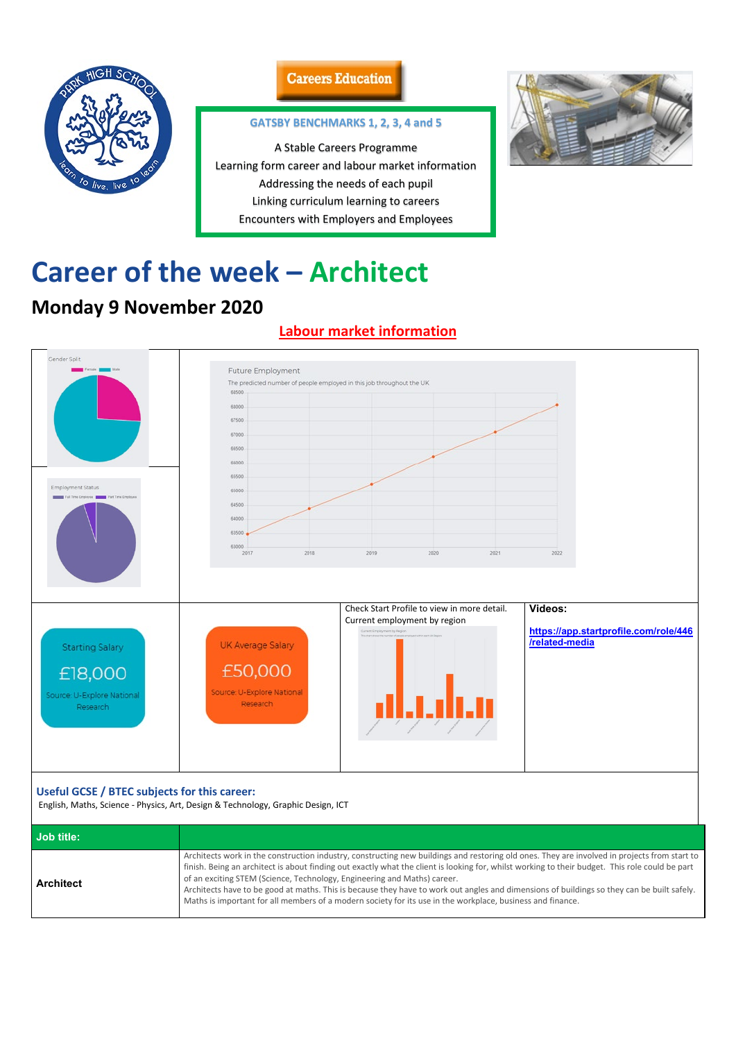

### **Careers Education**

# **Career of the week – Architect**

# **Monday 9 November 2020**

## **Labour market information**



### **Useful GCSE / BTEC subjects for this career:**

English, Maths, Science - Physics, Art, Design & Technology, Graphic Design, ICT

| <b>Job title:</b> |                                                                                                                                                                                                                                                                                                                                                                                                                                                                                                                                                                                                                                         |
|-------------------|-----------------------------------------------------------------------------------------------------------------------------------------------------------------------------------------------------------------------------------------------------------------------------------------------------------------------------------------------------------------------------------------------------------------------------------------------------------------------------------------------------------------------------------------------------------------------------------------------------------------------------------------|
| <b>Architect</b>  | Architects work in the construction industry, constructing new buildings and restoring old ones. They are involved in projects from start to<br>finish. Being an architect is about finding out exactly what the client is looking for, whilst working to their budget. This role could be part<br>of an exciting STEM (Science, Technology, Engineering and Maths) career.<br>Architects have to be good at maths. This is because they have to work out angles and dimensions of buildings so they can be built safely.<br>Maths is important for all members of a modern society for its use in the workplace, business and finance. |

### **GATSBY BENCHMARKS 1, 2, 3, 4 and 5**

A Stable Careers Programme Learning form career and labour market information Addressing the needs of each pupil Linking curriculum learning to careers Encounters with Employers and Employees